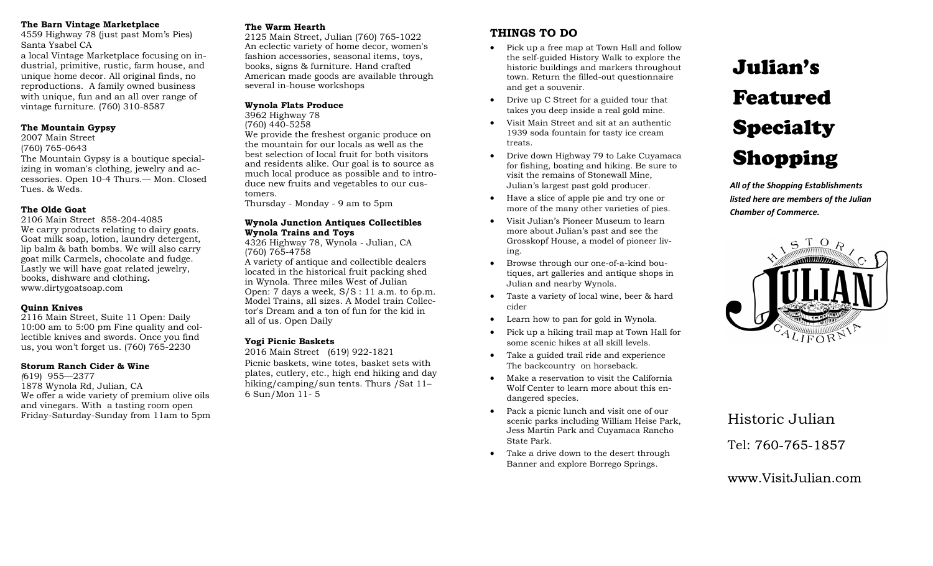#### **The Barn Vintage Marketplace**

4559 Highway 78 (just past Mom's Pies) Santa Ysabel CA

a local Vintage Marketplace focusing on industrial, primitive, rustic, farm house, and unique home decor. All original finds, no reproductions. A family owned business with unique, fun and an all over range of vintage furniture. (760) 310-8587

#### **The Mountain Gypsy**

2007 Main Street (760) 765-0643 The Mountain Gypsy is a boutique specializing in woman's clothing, jewelry and accessories. Open 10-4 Thurs.— Mon. Closed Tues. & Weds.

#### **The Olde Goat**

2106 Main Street 858-204-4085 We carry products relating to dairy goats. Goat milk soap, lotion, laundry detergent, lip balm & bath bombs. We will also carry goat milk Carmels, chocolate and fudge. Lastly we will have goat related jewelry, books, dishware and clothing**.**  www.dirtygoatsoap.com

#### **Quinn Knives**

2116 Main Street, Suite 11 Open: Daily 10:00 am to 5:00 pm Fine quality and collectible knives and swords. Once you find us, you won't forget us. (760) 765-2230

#### **Storum Ranch Cider & Wine**

*(*619) 955—2377 1878 Wynola Rd, Julian, CA We offer a wide variety of premium olive oils and vinegars. With a tasting room open Friday-Saturday-Sunday from 11am to 5pm

#### **The Warm Hearth**

2125 Main Street, Julian (760) 765-1022 An eclectic variety of home decor, women's fashion accessories, seasonal items, toys, books, signs & furniture. Hand crafted American made goods are available through several in-house workshops

#### **Wynola Flats Produce**

3962 Highway 78 (760) 440-5258 We provide the freshest organic produce on

the mountain for our locals as well as the best selection of local fruit for both visitors and residents alike. Our goal is to source as much local produce as possible and to introduce new fruits and vegetables to our customers.

Thursday - Monday - 9 am to 5pm

#### **Wynola Junction Antiques Collectibles Wynola Trains and Toys**

4326 Highway 78, Wynola - Julian, CA (760) 765-4758

A variety of antique and collectible dealers located in the historical fruit packing shed in Wynola. Three miles West of Julian Open: 7 days a week, S/S : 11 a.m. to 6p.m. Model Trains, all sizes. A Model train Collector's Dream and a ton of fun for the kid in all of us. Open Daily

#### **Yogi Picnic Baskets**

2016 Main Street (619) 922-1821 Picnic baskets, wine totes, basket sets with plates, cutlery, etc., high end hiking and day hiking/camping/sun tents. Thurs /Sat 11-6 Sun/Mon 11- 5

### **THINGS TO DO**

- Pick up a free map at Town Hall and follow the self-guided History Walk to explore the historic buildings and markers throughout town. Return the filled-out questionnaire and get a souvenir.
- Drive up C Street for a guided tour that takes you deep inside a real gold mine.
- Visit Main Street and sit at an authentic 1939 soda fountain for tasty ice cream treats.
- Drive down Highway 79 to Lake Cuyamaca for fishing, boating and hiking. Be sure to visit the remains of Stonewall Mine, Julian's largest past gold producer.
- Have a slice of apple pie and try one or more of the many other varieties of pies.
- Visit Julian's Pioneer Museum to learn more about Julian's past and see the Grosskopf House, a model of pioneer living.
- Browse through our one-of-a-kind boutiques, art galleries and antique shops in Julian and nearby Wynola.
- Taste a variety of local wine, beer & hard cider
- Learn how to pan for gold in Wynola.
- Pick up a hiking trail map at Town Hall for some scenic hikes at all skill levels.
- Take a guided trail ride and experience The backcountry on horseback.
- Make a reservation to visit the California Wolf Center to learn more about this endangered species.
- Pack a picnic lunch and visit one of our scenic parks including William Heise Park, Jess Martin Park and Cuyamaca Rancho State Park.
- Take a drive down to the desert through Banner and explore Borrego Springs.

# Julian's Featured Specialty Shopping

*All of the Shopping Establishments listed here are members of the Julian Chamber of Commerce.* 



## Tel: 760-765-1857 Historic Julian

www.Visit.Julian.com